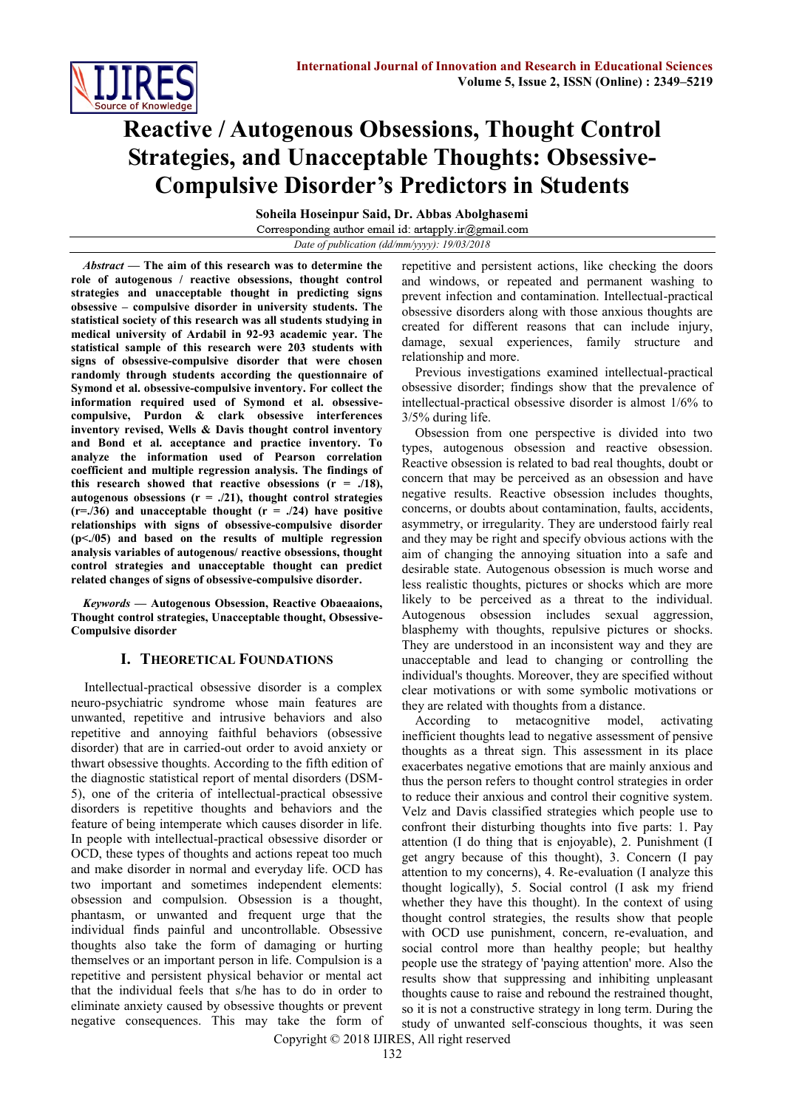

# **Reactive / Autogenous Obsessions, Thought Control Strategies, and Unacceptable Thoughts: Obsessive-Compulsive Disorder's Predictors in Students**

**Soheila Hoseinpur Said, Dr. Abbas Abolghasemi** *Date of publication (dd/mm/yyyy): 19/03/2018*

*Abstract* **— The aim of this research was to determine the role of autogenous / reactive obsessions, thought control strategies and unacceptable thought in predicting signs obsessive – compulsive disorder in university students. The statistical society of this research was all students studying in medical university of Ardabil in 92-93 academic year. The statistical sample of this research were 203 students with signs of obsessive-compulsive disorder that were chosen randomly through students according the questionnaire of Symond et al. obsessive-compulsive inventory. For collect the information required used of Symond et al. obsessivecompulsive, Purdon & clark obsessive interferences inventory revised, Wells & Davis thought control inventory and Bond et al. acceptance and practice inventory. To analyze the information used of Pearson correlation coefficient and multiple regression analysis. The findings of**  this research showed that reactive obsessions  $(r = ./18)$ , **autogenous obsessions (r = ./21), thought control strategies**   $(r=.36)$  and unacceptable thought  $(r=.24)$  have positive **relationships with signs of obsessive-compulsive disorder (p<./05) and based on the results of multiple regression analysis variables of autogenous/ reactive obsessions, thought control strategies and unacceptable thought can predict related changes of signs of obsessive-compulsive disorder.**

*Keywords* **— Autogenous Obsession, Reactive Obaeaaions, Thought control strategies, Unacceptable thought, Obsessive-Compulsive disorder**

### **I. THEORETICAL FOUNDATIONS**

Intellectual-practical obsessive disorder is a complex neuro-psychiatric syndrome whose main features are unwanted, repetitive and intrusive behaviors and also repetitive and annoying faithful behaviors (obsessive disorder) that are in carried-out order to avoid anxiety or thwart obsessive thoughts. According to the fifth edition of the diagnostic statistical report of mental disorders (DSM-5), one of the criteria of intellectual-practical obsessive disorders is repetitive thoughts and behaviors and the feature of being intemperate which causes disorder in life. In people with intellectual-practical obsessive disorder or OCD, these types of thoughts and actions repeat too much and make disorder in normal and everyday life. OCD has two important and sometimes independent elements: obsession and compulsion. Obsession is a thought, phantasm, or unwanted and frequent urge that the individual finds painful and uncontrollable. Obsessive thoughts also take the form of damaging or hurting themselves or an important person in life. Compulsion is a repetitive and persistent physical behavior or mental act that the individual feels that s/he has to do in order to eliminate anxiety caused by obsessive thoughts or prevent negative consequences. This may take the form of

repetitive and persistent actions, like checking the doors and windows, or repeated and permanent washing to prevent infection and contamination. Intellectual-practical obsessive disorders along with those anxious thoughts are created for different reasons that can include injury, damage, sexual experiences, family structure and relationship and more.

Previous investigations examined intellectual-practical obsessive disorder; findings show that the prevalence of intellectual-practical obsessive disorder is almost 1/6% to 3/5% during life.

Obsession from one perspective is divided into two types, autogenous obsession and reactive obsession. Reactive obsession is related to bad real thoughts, doubt or concern that may be perceived as an obsession and have negative results. Reactive obsession includes thoughts, concerns, or doubts about contamination, faults, accidents, asymmetry, or irregularity. They are understood fairly real and they may be right and specify obvious actions with the aim of changing the annoying situation into a safe and desirable state. Autogenous obsession is much worse and less realistic thoughts, pictures or shocks which are more likely to be perceived as a threat to the individual. Autogenous obsession includes sexual aggression, blasphemy with thoughts, repulsive pictures or shocks. They are understood in an inconsistent way and they are unacceptable and lead to changing or controlling the individual's thoughts. Moreover, they are specified without clear motivations or with some symbolic motivations or they are related with thoughts from a distance.

According to metacognitive model, activating inefficient thoughts lead to negative assessment of pensive thoughts as a threat sign. This assessment in its place exacerbates negative emotions that are mainly anxious and thus the person refers to thought control strategies in order to reduce their anxious and control their cognitive system. Velz and Davis classified strategies which people use to confront their disturbing thoughts into five parts: 1. Pay attention (I do thing that is enjoyable), 2. Punishment (I get angry because of this thought), 3. Concern (I pay attention to my concerns), 4. Re-evaluation (I analyze this thought logically), 5. Social control (I ask my friend whether they have this thought). In the context of using thought control strategies, the results show that people with OCD use punishment, concern, re-evaluation, and social control more than healthy people; but healthy people use the strategy of 'paying attention' more. Also the results show that suppressing and inhibiting unpleasant thoughts cause to raise and rebound the restrained thought, so it is not a constructive strategy in long term. During the study of unwanted self-conscious thoughts, it was seen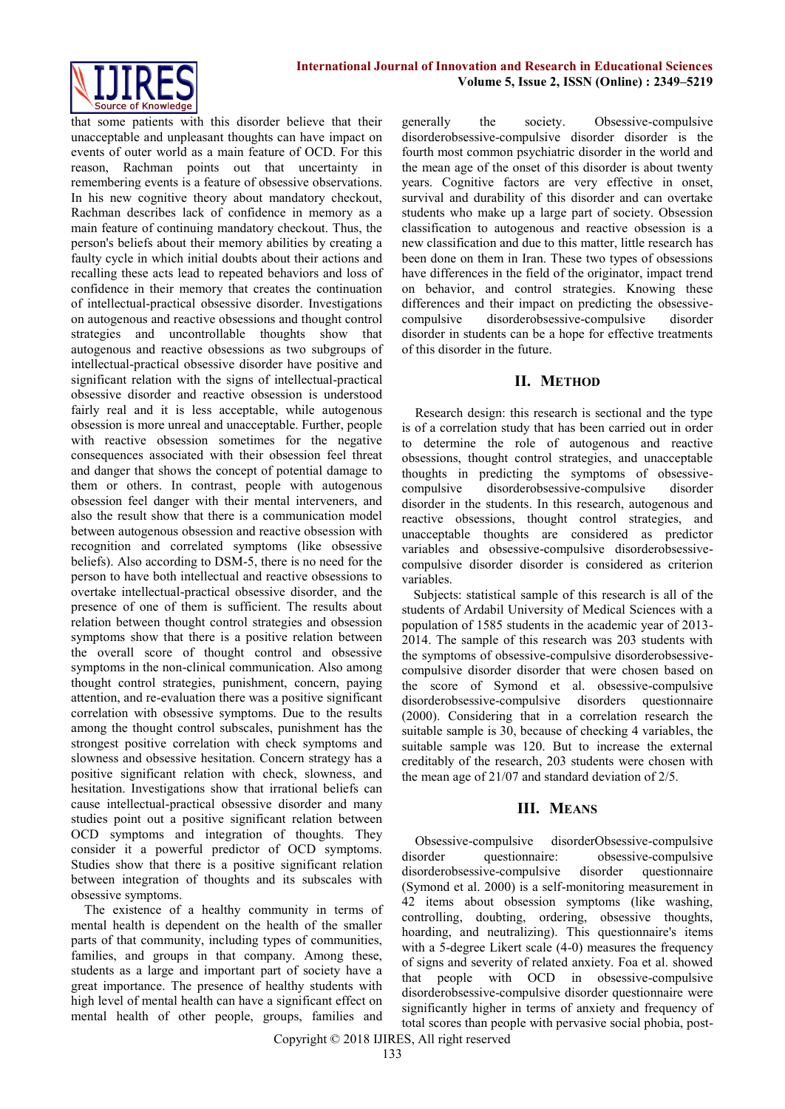

that some patients with this disorder believe that their unacceptable and unpleasant thoughts can have impact on events of outer world as a main feature of OCD. For this reason, Rachman points out that uncertainty in remembering events is a feature of obsessive observations. In his new cognitive theory about mandatory checkout, Rachman describes lack of confidence in memory as a main feature of continuing mandatory checkout. Thus, the person's beliefs about their memory abilities by creating a faulty cycle in which initial doubts about their actions and recalling these acts lead to repeated behaviors and loss of confidence in their memory that creates the continuation of intellectual-practical obsessive disorder. Investigations on autogenous and reactive obsessions and thought control strategies and uncontrollable thoughts show that autogenous and reactive obsessions as two subgroups of intellectual-practical obsessive disorder have positive and significant relation with the signs of intellectual-practical obsessive disorder and reactive obsession is understood fairly real and it is less acceptable, while autogenous obsession is more unreal and unacceptable. Further, people with reactive obsession sometimes for the negative consequences associated with their obsession feel threat and danger that shows the concept of potential damage to them or others. In contrast, people with autogenous obsession feel danger with their mental interveners, and also the result show that there is a communication model between autogenous obsession and reactive obsession with recognition and correlated symptoms (like obsessive beliefs). Also according to DSM-5, there is no need for the person to have both intellectual and reactive obsessions to overtake intellectual-practical obsessive disorder, and the presence of one of them is sufficient. The results about relation between thought control strategies and obsession symptoms show that there is a positive relation between the overall score of thought control and obsessive symptoms in the non-clinical communication. Also among thought control strategies, punishment, concern, paying attention, and re-evaluation there was a positive significant correlation with obsessive symptoms. Due to the results among the thought control subscales, punishment has the strongest positive correlation with check symptoms and slowness and obsessive hesitation. Concern strategy has a positive significant relation with check, slowness, and hesitation. Investigations show that irrational beliefs can cause intellectual-practical obsessive disorder and many studies point out a positive significant relation between OCD symptoms and integration of thoughts. They consider it a powerful predictor of OCD symptoms. Studies show that there is a positive significant relation between integration of thoughts and its subscales with obsessive symptoms.

The existence of a healthy community in terms of mental health is dependent on the health of the smaller parts of that community, including types of communities, families, and groups in that company. Among these, students as a large and important part of society have a great importance. The presence of healthy students with high level of mental health can have a significant effect on mental health of other people, groups, families and generally the society. Obsessive-compulsive disorderobsessive-compulsive disorder disorder is the fourth most common psychiatric disorder in the world and the mean age of the onset of this disorder is about twenty years. Cognitive factors are very effective in onset, survival and durability of this disorder and can overtake students who make up a large part of society. Obsession classification to autogenous and reactive obsession is a new classification and due to this matter, little research has been done on them in Iran. These two types of obsessions have differences in the field of the originator, impact trend on behavior, and control strategies. Knowing these differences and their impact on predicting the obsessivecompulsive disorderobsessive-compulsive disorder disorder in students can be a hope for effective treatments of this disorder in the future.

## **II. METHOD**

Research design: this research is sectional and the type is of a correlation study that has been carried out in order to determine the role of autogenous and reactive obsessions, thought control strategies, and unacceptable thoughts in predicting the symptoms of obsessivecompulsive disorderobsessive-compulsive disorder disorder in the students. In this research, autogenous and reactive obsessions, thought control strategies, and unacceptable thoughts are considered as predictor variables and obsessive-compulsive disorderobsessivecompulsive disorder disorder is considered as criterion variables.

Subjects: statistical sample of this research is all of the students of Ardabil University of Medical Sciences with a population of 1585 students in the academic year of 2013- 2014. The sample of this research was 203 students with the symptoms of obsessive-compulsive disorderobsessivecompulsive disorder disorder that were chosen based on the score of Symond et al. obsessive-compulsive disorderobsessive-compulsive disorders questionnaire (2000). Considering that in a correlation research the suitable sample is 30, because of checking 4 variables, the suitable sample was 120. But to increase the external creditably of the research, 203 students were chosen with the mean age of 21/07 and standard deviation of 2/5.

# **III. MEANS**

Obsessive-compulsive disorderObsessive-compulsive disorder questionnaire: obsessive-compulsive disorderobsessive-compulsive disorder questionnaire (Symond et al. 2000) is a self-monitoring measurement in 42 items about obsession symptoms (like washing, controlling, doubting, ordering, obsessive thoughts, hoarding, and neutralizing). This questionnaire's items with a 5-degree Likert scale (4-0) measures the frequency of signs and severity of related anxiety. Foa et al. showed that people with OCD in obsessive-compulsive disorderobsessive-compulsive disorder questionnaire were significantly higher in terms of anxiety and frequency of total scores than people with pervasive social phobia, post-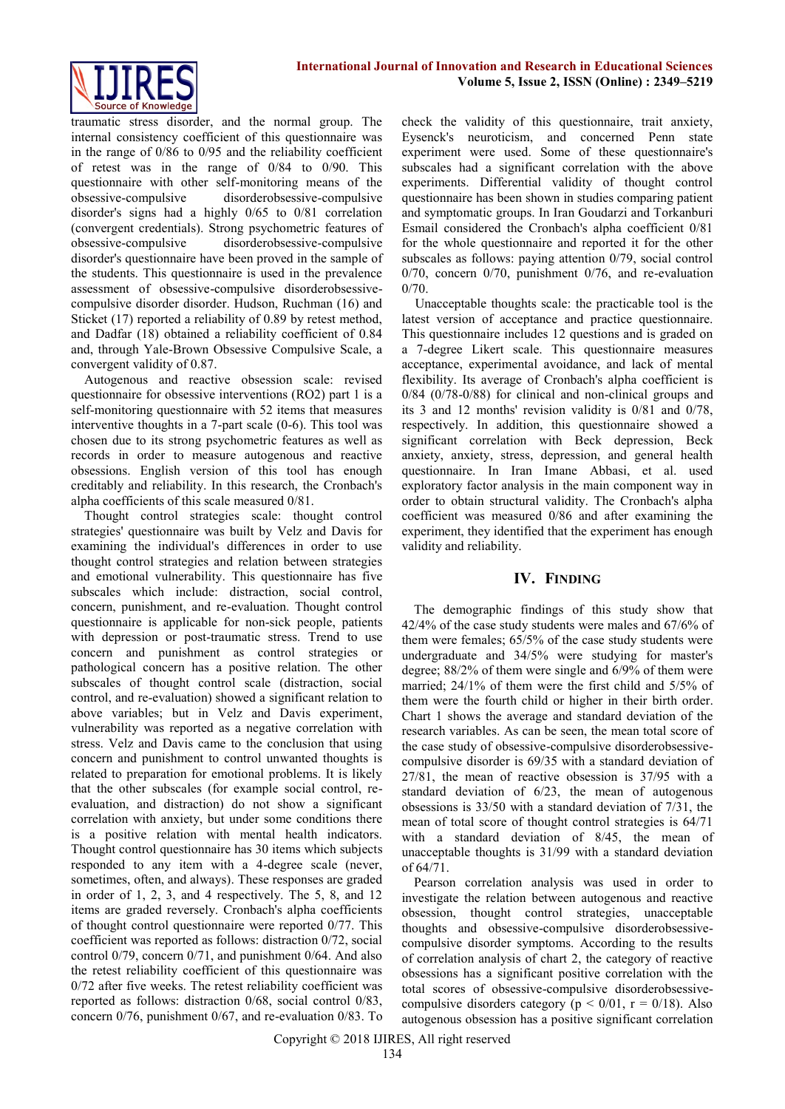

traumatic stress disorder, and the normal group. The internal consistency coefficient of this questionnaire was in the range of 0/86 to 0/95 and the reliability coefficient of retest was in the range of 0/84 to 0/90. This questionnaire with other self-monitoring means of the obsessive-compulsive disorderobsessive-compulsive disorder's signs had a highly 0/65 to 0/81 correlation (convergent credentials). Strong psychometric features of obsessive-compulsive disorderobsessive-compulsive disorder's questionnaire have been proved in the sample of the students. This questionnaire is used in the prevalence assessment of obsessive-compulsive disorderobsessivecompulsive disorder disorder. Hudson, Ruchman (16) and Sticket (17) reported a reliability of 0.89 by retest method, and Dadfar (18) obtained a reliability coefficient of 0.84 and, through Yale-Brown Obsessive Compulsive Scale, a convergent validity of 0.87.

Autogenous and reactive obsession scale: revised questionnaire for obsessive interventions (RO2) part 1 is a self-monitoring questionnaire with 52 items that measures interventive thoughts in a 7-part scale (0-6). This tool was chosen due to its strong psychometric features as well as records in order to measure autogenous and reactive obsessions. English version of this tool has enough creditably and reliability. In this research, the Cronbach's alpha coefficients of this scale measured 0/81.

Thought control strategies scale: thought control strategies' questionnaire was built by Velz and Davis for examining the individual's differences in order to use thought control strategies and relation between strategies and emotional vulnerability. This questionnaire has five subscales which include: distraction, social control, concern, punishment, and re-evaluation. Thought control questionnaire is applicable for non-sick people, patients with depression or post-traumatic stress. Trend to use concern and punishment as control strategies or pathological concern has a positive relation. The other subscales of thought control scale (distraction, social control, and re-evaluation) showed a significant relation to above variables; but in Velz and Davis experiment, vulnerability was reported as a negative correlation with stress. Velz and Davis came to the conclusion that using concern and punishment to control unwanted thoughts is related to preparation for emotional problems. It is likely that the other subscales (for example social control, reevaluation, and distraction) do not show a significant correlation with anxiety, but under some conditions there is a positive relation with mental health indicators. Thought control questionnaire has 30 items which subjects responded to any item with a 4-degree scale (never, sometimes, often, and always). These responses are graded in order of 1, 2, 3, and 4 respectively. The 5, 8, and 12 items are graded reversely. Cronbach's alpha coefficients of thought control questionnaire were reported 0/77. This coefficient was reported as follows: distraction 0/72, social control 0/79, concern 0/71, and punishment 0/64. And also the retest reliability coefficient of this questionnaire was 0/72 after five weeks. The retest reliability coefficient was reported as follows: distraction 0/68, social control 0/83, concern 0/76, punishment 0/67, and re-evaluation 0/83. To check the validity of this questionnaire, trait anxiety, Eysenck's neuroticism, and concerned Penn state experiment were used. Some of these questionnaire's subscales had a significant correlation with the above experiments. Differential validity of thought control questionnaire has been shown in studies comparing patient and symptomatic groups. In Iran Goudarzi and Torkanburi Esmail considered the Cronbach's alpha coefficient 0/81 for the whole questionnaire and reported it for the other subscales as follows: paying attention 0/79, social control 0/70, concern 0/70, punishment 0/76, and re-evaluation 0/70.

Unacceptable thoughts scale: the practicable tool is the latest version of acceptance and practice questionnaire. This questionnaire includes 12 questions and is graded on a 7-degree Likert scale. This questionnaire measures acceptance, experimental avoidance, and lack of mental flexibility. Its average of Cronbach's alpha coefficient is 0/84 (0/78-0/88) for clinical and non-clinical groups and its 3 and 12 months' revision validity is 0/81 and 0/78, respectively. In addition, this questionnaire showed a significant correlation with Beck depression, Beck anxiety, anxiety, stress, depression, and general health questionnaire. In Iran Imane Abbasi, et al. used exploratory factor analysis in the main component way in order to obtain structural validity. The Cronbach's alpha coefficient was measured 0/86 and after examining the experiment, they identified that the experiment has enough validity and reliability.

#### **IV. FINDING**

The demographic findings of this study show that 42/4% of the case study students were males and 67/6% of them were females; 65/5% of the case study students were undergraduate and 34/5% were studying for master's degree; 88/2% of them were single and 6/9% of them were married; 24/1% of them were the first child and 5/5% of them were the fourth child or higher in their birth order. Chart 1 shows the average and standard deviation of the research variables. As can be seen, the mean total score of the case study of obsessive-compulsive disorderobsessivecompulsive disorder is 69/35 with a standard deviation of 27/81, the mean of reactive obsession is 37/95 with a standard deviation of 6/23, the mean of autogenous obsessions is 33/50 with a standard deviation of 7/31, the mean of total score of thought control strategies is 64/71 with a standard deviation of 8/45, the mean of unacceptable thoughts is 31/99 with a standard deviation of 64/71.

Pearson correlation analysis was used in order to investigate the relation between autogenous and reactive obsession, thought control strategies, unacceptable thoughts and obsessive-compulsive disorderobsessivecompulsive disorder symptoms. According to the results of correlation analysis of chart 2, the category of reactive obsessions has a significant positive correlation with the total scores of obsessive-compulsive disorderobsessivecompulsive disorders category ( $p < 0/01$ ,  $r = 0/18$ ). Also autogenous obsession has a positive significant correlation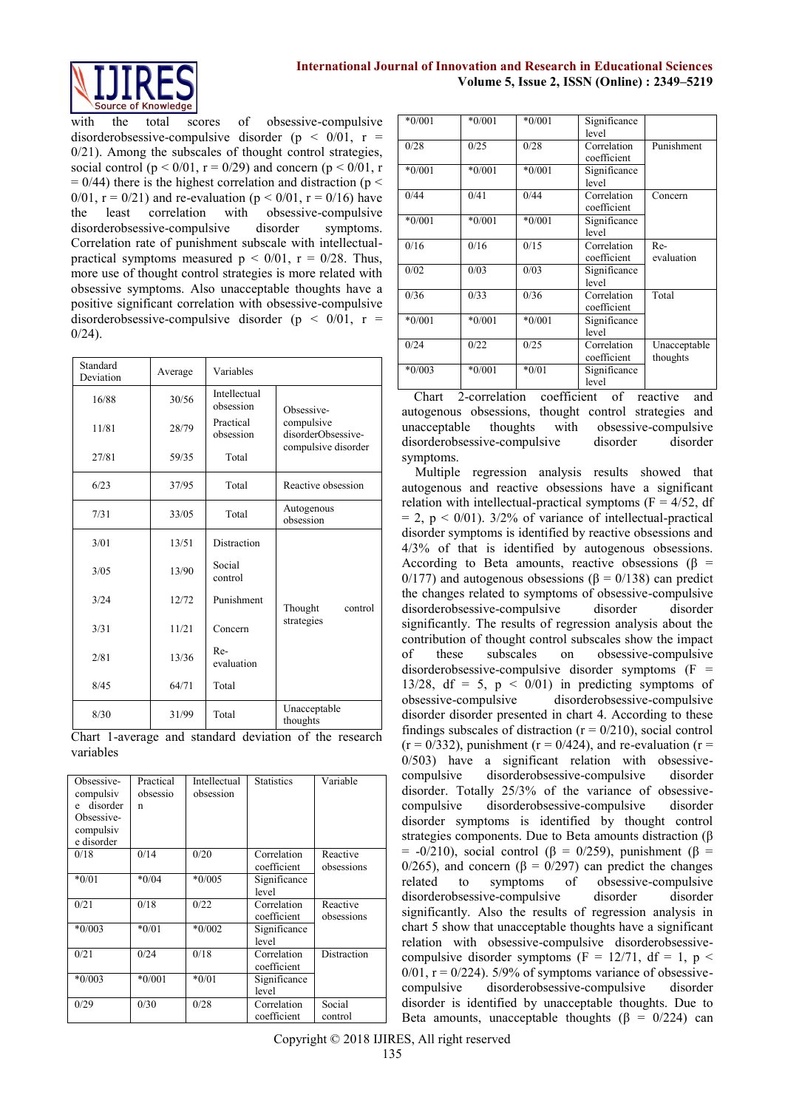

with the total scores of obsessive-compulsive disorderobsessive-compulsive disorder ( $p < 0/01$ ,  $r =$ 0/21). Among the subscales of thought control strategies, social control ( $p < 0/01$ ,  $r = 0/29$ ) and concern ( $p < 0/01$ , r  $= 0/44$ ) there is the highest correlation and distraction (p < 0/01,  $r = 0/21$ ) and re-evaluation ( $p < 0/01$ ,  $r = 0/16$ ) have the least correlation with obsessive-compulsive disorderobsessive-compulsive disorder symptoms. Correlation rate of punishment subscale with intellectualpractical symptoms measured  $p < 0/01$ ,  $r = 0/28$ . Thus, more use of thought control strategies is more related with obsessive symptoms. Also unacceptable thoughts have a positive significant correlation with obsessive-compulsive disorderobsessive-compulsive disorder ( $p < 0/01$ ,  $r =$  $0/24$ ).

| Standard<br>Deviation | Average | Variables                 |                                  |
|-----------------------|---------|---------------------------|----------------------------------|
| 16/88                 | 30/56   | Intellectual<br>obsession | Obsessive-                       |
| 11/81                 | 28/79   | Practical<br>obsession    | compulsive<br>disorderObsessive- |
| 27/81                 | 59/35   | Total                     | compulsive disorder              |
| 6/23                  | 37/95   | Total                     | Reactive obsession               |
| 7/31                  | 33/05   | Total                     | Autogenous<br>obsession          |
| 3/01                  | 13/51   | Distraction               |                                  |
| 3/0.5                 | 13/90   | Social<br>control         |                                  |
| 3/24                  | 12/72   | Punishment                | Thought<br>control               |
| 3/31                  | 11/21   | Concern                   | strategies                       |
| 2/81                  | 13/36   | Re-<br>evaluation         |                                  |
| 8/45                  | 64/71   | Total                     |                                  |
| 8/30                  | 31/99   | Total                     | Unacceptable<br>thoughts         |

Chart 1-average and standard deviation of the research variables

| Obsessive-<br>compulsiv<br>disorder<br>e<br>Obsessive-<br>compulsiv<br>e disorder | Practical<br>obsessio<br>n | Intellectual<br>obsession | <b>Statistics</b>          | Variable               |
|-----------------------------------------------------------------------------------|----------------------------|---------------------------|----------------------------|------------------------|
| 0/18                                                                              | 0/14                       | 0/20                      | Correlation<br>coefficient | Reactive<br>obsessions |
| $*0/01$                                                                           | $*0/04$                    | $*0/005$                  | Significance<br>level      |                        |
| 0/21                                                                              | 0/18                       | 0/22                      | Correlation<br>coefficient | Reactive<br>obsessions |
| $*0/003$                                                                          | $*0/01$                    | $*0/002$                  | Significance<br>level      |                        |
| 0/21                                                                              | 0/24                       | 0/18                      | Correlation<br>coefficient | Distraction            |
| $*0/003$                                                                          | $*0/001$                   | $*0/01$                   | Significance<br>level      |                        |
| 0/29                                                                              | 0/30                       | 0/28                      | Correlation<br>coefficient | Social<br>control      |

| $*0/001$ | $*0/001$ | $*0/001$ | Significance |              |
|----------|----------|----------|--------------|--------------|
|          |          |          | level        |              |
| 0/28     | 0/25     | 0/28     | Correlation  | Punishment   |
|          |          |          | coefficient  |              |
| $*0/001$ | $*0/001$ | $*0/001$ | Significance |              |
|          |          |          | level        |              |
| 0/44     | 0/41     | 0/44     | Correlation  | Concern      |
|          |          |          | coefficient  |              |
| $*0/001$ | $*0/001$ | $*0/001$ | Significance |              |
|          |          |          | level        |              |
| 0/16     | 0/16     | 0/15     | Correlation  | Re-          |
|          |          |          | coefficient  | evaluation   |
| 0/02     | 0/03     | 0/03     | Significance |              |
|          |          |          | level        |              |
| 0/36     | 0/33     | 0/36     | Correlation  | Total        |
|          |          |          | coefficient  |              |
| $*0/001$ | $*0/001$ | $*0/001$ | Significance |              |
|          |          |          | level        |              |
| 0/24     | 0/22     | 0/25     | Correlation  | Unacceptable |
|          |          |          | coefficient  | thoughts     |
| $*0/003$ | $*0/001$ | $*0/01$  | Significance |              |
|          |          |          | level        |              |
| $\sim$   | . .      | $\sim$   |              |              |

Chart 2-correlation coefficient of reactive and autogenous obsessions, thought control strategies and unacceptable thoughts with obsessive-compulsive disorderobsessive-compulsive disorder disorder symptoms.

Multiple regression analysis results showed that autogenous and reactive obsessions have a significant relation with intellectual-practical symptoms ( $F = 4/52$ , df  $= 2$ ,  $p < 0/01$ ). 3/2% of variance of intellectual-practical disorder symptoms is identified by reactive obsessions and 4/3% of that is identified by autogenous obsessions. According to Beta amounts, reactive obsessions ( $\beta$  = 0/177) and autogenous obsessions (β = 0/138) can predict the changes related to symptoms of obsessive-compulsive disorderobsessive-compulsive disorder disorder significantly. The results of regression analysis about the contribution of thought control subscales show the impact of these subscales on obsessive-compulsive disorderobsessive-compulsive disorder symptoms  $(F =$ 13/28, df = 5,  $p \le 0/01$  in predicting symptoms of obsessive-compulsive disorderobsessive-compulsive disorder disorder presented in chart 4. According to these findings subscales of distraction  $(r = 0/210)$ , social control  $(r = 0/332)$ , punishment  $(r = 0/424)$ , and re-evaluation  $(r = 1/332)$ 0/503) have a significant relation with obsessivecompulsive disorderobsessive-compulsive disorder disorder. Totally 25/3% of the variance of obsessivecompulsive disorderobsessive-compulsive disorder disorder symptoms is identified by thought control strategies components. Due to Beta amounts distraction (β  $= -0/210$ ), social control (β = 0/259), punishment (β = 0/265), and concern ( $\beta = 0/297$ ) can predict the changes related to symptoms of obsessive-compulsive related to symptoms of obsessive-compulsive disorderobsessive-compulsive disorder disorder significantly. Also the results of regression analysis in chart 5 show that unacceptable thoughts have a significant relation with obsessive-compulsive disorderobsessivecompulsive disorder symptoms (F = 12/71, df = 1, p <  $0/01$ ,  $r = 0/224$ ). 5/9% of symptoms variance of obsessivecompulsive disorderobsessive-compulsive disorder disorder is identified by unacceptable thoughts. Due to Beta amounts, unacceptable thoughts ( $\beta = 0/224$ ) can

Copyright © 2018 IJIRES, All right reserved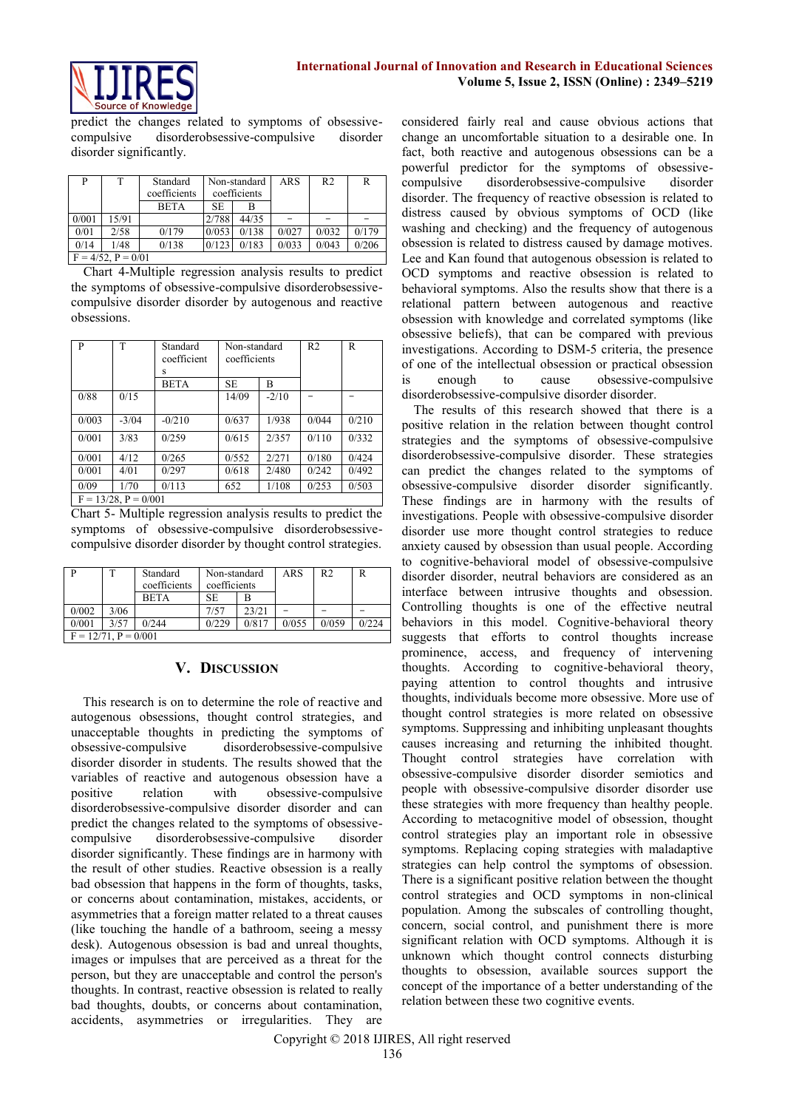

predict the changes related to symptoms of obsessivecompulsive disorderobsessive-compulsive disorder disorder significantly.

| P                       | T     | Standard     | Non-standard |       | ARS   | R <sub>2</sub> | R     |
|-------------------------|-------|--------------|--------------|-------|-------|----------------|-------|
|                         |       | coefficients | coefficients |       |       |                |       |
|                         |       | <b>BETA</b>  | SE.          |       |       |                |       |
| 0/001                   | 15/91 |              | 2/788        | 44/35 |       |                |       |
| 0/01                    | 2/58  | 0/179        | 0/053        | 0/138 | 0/027 | 0/032          | 0/179 |
| 0/14                    | 1/48  | 0/138        | 0/123        | 0/183 | 0/033 | 0/043          | 0/206 |
| $F = 4/52$ , $P = 0/01$ |       |              |              |       |       |                |       |

Chart 4-Multiple regression analysis results to predict the symptoms of obsessive-compulsive disorderobsessivecompulsive disorder disorder by autogenous and reactive obsessions.

| P     | T                         | Standard<br>coefficient<br>s | Non-standard<br>coefficients |         | R <sub>2</sub> | R     |
|-------|---------------------------|------------------------------|------------------------------|---------|----------------|-------|
|       |                           | <b>BETA</b>                  | <b>SE</b>                    | B       |                |       |
| 0/88  | 0/15                      |                              | 14/09                        | $-2/10$ |                |       |
| 0/003 | $-3/04$                   | $-0/210$                     | 0/637                        | 1/938   | 0/044          | 0/210 |
| 0/001 | 3/83                      | 0/259                        | 0/615                        | 2/357   | 0/110          | 0/332 |
| 0/001 | 4/12                      | 0/265                        | 0/552                        | 2/271   | 0/180          | 0/424 |
| 0/001 | 4/01                      | 0/297                        | 0/618                        | 2/480   | 0/242          | 0/492 |
| 0/09  | 1/70                      | 0/113                        | 652                          | 1/108   | 0/253          | 0/503 |
|       | $F = 13/28$ , $P = 0/001$ |                              |                              |         |                |       |

Chart 5- Multiple regression analysis results to predict the symptoms of obsessive-compulsive disorderobsessivecompulsive disorder disorder by thought control strategies.

|                           |      | Standard<br>coefficients | Non-standard<br>coefficients |       | ARS   | R <sub>2</sub> |       |
|---------------------------|------|--------------------------|------------------------------|-------|-------|----------------|-------|
|                           |      | <b>BETA</b>              | SE                           | В     |       |                |       |
| 0/002                     | 3/06 |                          | 7/57                         | 23/21 |       |                |       |
| 0/001                     | 3/57 | 0/244                    | 0/229                        | 0/817 | 0/055 | 0/0.59         | 0/224 |
| $F = 12/71$ , $P = 0/001$ |      |                          |                              |       |       |                |       |

# **V. DISCUSSION**

This research is on to determine the role of reactive and autogenous obsessions, thought control strategies, and unacceptable thoughts in predicting the symptoms of obsessive-compulsive disorderobsessive-compulsive disorder disorder in students. The results showed that the variables of reactive and autogenous obsession have a positive relation with obsessive-compulsive disorderobsessive-compulsive disorder disorder and can predict the changes related to the symptoms of obsessivecompulsive disorderobsessive-compulsive disorder disorder significantly. These findings are in harmony with the result of other studies. Reactive obsession is a really bad obsession that happens in the form of thoughts, tasks, or concerns about contamination, mistakes, accidents, or asymmetries that a foreign matter related to a threat causes (like touching the handle of a bathroom, seeing a messy desk). Autogenous obsession is bad and unreal thoughts, images or impulses that are perceived as a threat for the person, but they are unacceptable and control the person's thoughts. In contrast, reactive obsession is related to really bad thoughts, doubts, or concerns about contamination, accidents, asymmetries or irregularities. They are

considered fairly real and cause obvious actions that change an uncomfortable situation to a desirable one. In fact, both reactive and autogenous obsessions can be a powerful predictor for the symptoms of obsessivecompulsive disorderobsessive-compulsive disorder disorder. The frequency of reactive obsession is related to distress caused by obvious symptoms of OCD (like washing and checking) and the frequency of autogenous obsession is related to distress caused by damage motives. Lee and Kan found that autogenous obsession is related to OCD symptoms and reactive obsession is related to behavioral symptoms. Also the results show that there is a relational pattern between autogenous and reactive obsession with knowledge and correlated symptoms (like obsessive beliefs), that can be compared with previous investigations. According to DSM-5 criteria, the presence of one of the intellectual obsession or practical obsession is enough to cause obsessive-compulsive disorderobsessive-compulsive disorder disorder.

The results of this research showed that there is a positive relation in the relation between thought control strategies and the symptoms of obsessive-compulsive disorderobsessive-compulsive disorder. These strategies can predict the changes related to the symptoms of obsessive-compulsive disorder disorder significantly. These findings are in harmony with the results of investigations. People with obsessive-compulsive disorder disorder use more thought control strategies to reduce anxiety caused by obsession than usual people. According to cognitive-behavioral model of obsessive-compulsive disorder disorder, neutral behaviors are considered as an interface between intrusive thoughts and obsession. Controlling thoughts is one of the effective neutral behaviors in this model. Cognitive-behavioral theory suggests that efforts to control thoughts increase prominence, access, and frequency of intervening thoughts. According to cognitive-behavioral theory, paying attention to control thoughts and intrusive thoughts, individuals become more obsessive. More use of thought control strategies is more related on obsessive symptoms. Suppressing and inhibiting unpleasant thoughts causes increasing and returning the inhibited thought. Thought control strategies have correlation with obsessive-compulsive disorder disorder semiotics and people with obsessive-compulsive disorder disorder use these strategies with more frequency than healthy people. According to metacognitive model of obsession, thought control strategies play an important role in obsessive symptoms. Replacing coping strategies with maladaptive strategies can help control the symptoms of obsession. There is a significant positive relation between the thought control strategies and OCD symptoms in non-clinical population. Among the subscales of controlling thought, concern, social control, and punishment there is more significant relation with OCD symptoms. Although it is unknown which thought control connects disturbing thoughts to obsession, available sources support the concept of the importance of a better understanding of the relation between these two cognitive events.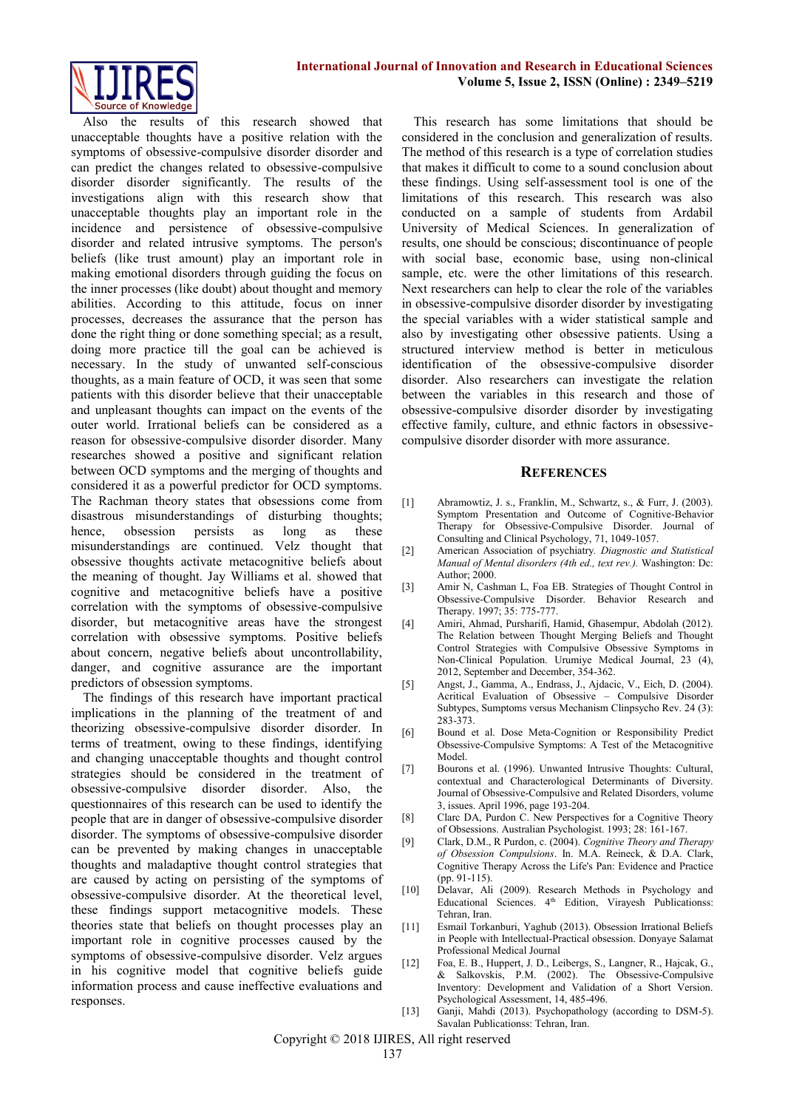

Also the results of this research showed that unacceptable thoughts have a positive relation with the symptoms of obsessive-compulsive disorder disorder and can predict the changes related to obsessive-compulsive disorder disorder significantly. The results of the investigations align with this research show that unacceptable thoughts play an important role in the incidence and persistence of obsessive-compulsive disorder and related intrusive symptoms. The person's beliefs (like trust amount) play an important role in making emotional disorders through guiding the focus on the inner processes (like doubt) about thought and memory abilities. According to this attitude, focus on inner processes, decreases the assurance that the person has done the right thing or done something special; as a result, doing more practice till the goal can be achieved is necessary. In the study of unwanted self-conscious thoughts, as a main feature of OCD, it was seen that some patients with this disorder believe that their unacceptable and unpleasant thoughts can impact on the events of the outer world. Irrational beliefs can be considered as a reason for obsessive-compulsive disorder disorder. Many researches showed a positive and significant relation between OCD symptoms and the merging of thoughts and considered it as a powerful predictor for OCD symptoms. The Rachman theory states that obsessions come from disastrous misunderstandings of disturbing thoughts; hence, obsession persists as long as these misunderstandings are continued. Velz thought that obsessive thoughts activate metacognitive beliefs about the meaning of thought. Jay Williams et al. showed that cognitive and metacognitive beliefs have a positive correlation with the symptoms of obsessive-compulsive disorder, but metacognitive areas have the strongest correlation with obsessive symptoms. Positive beliefs about concern, negative beliefs about uncontrollability, danger, and cognitive assurance are the important predictors of obsession symptoms.

The findings of this research have important practical implications in the planning of the treatment of and theorizing obsessive-compulsive disorder disorder. In terms of treatment, owing to these findings, identifying and changing unacceptable thoughts and thought control strategies should be considered in the treatment of obsessive-compulsive disorder disorder. Also, the questionnaires of this research can be used to identify the people that are in danger of obsessive-compulsive disorder disorder. The symptoms of obsessive-compulsive disorder can be prevented by making changes in unacceptable thoughts and maladaptive thought control strategies that are caused by acting on persisting of the symptoms of obsessive-compulsive disorder. At the theoretical level, these findings support metacognitive models. These theories state that beliefs on thought processes play an important role in cognitive processes caused by the symptoms of obsessive-compulsive disorder. Velz argues in his cognitive model that cognitive beliefs guide information process and cause ineffective evaluations and responses.

This research has some limitations that should be considered in the conclusion and generalization of results. The method of this research is a type of correlation studies that makes it difficult to come to a sound conclusion about these findings. Using self-assessment tool is one of the limitations of this research. This research was also conducted on a sample of students from Ardabil University of Medical Sciences. In generalization of results, one should be conscious; discontinuance of people with social base, economic base, using non-clinical sample, etc. were the other limitations of this research. Next researchers can help to clear the role of the variables in obsessive-compulsive disorder disorder by investigating the special variables with a wider statistical sample and also by investigating other obsessive patients. Using a structured interview method is better in meticulous identification of the obsessive-compulsive disorder disorder. Also researchers can investigate the relation between the variables in this research and those of obsessive-compulsive disorder disorder by investigating effective family, culture, and ethnic factors in obsessivecompulsive disorder disorder with more assurance.

#### **REFERENCES**

- [1] Abramowtiz, J. s., Franklin, M., Schwartz, s., & Furr, J. (2003). Symptom Presentation and Outcome of Cognitive-Behavior Therapy for Obsessive-Compulsive Disorder. Journal of Consulting and Clinical Psychology, 71, 1049-1057.
- [2] American Association of psychiatry*. Diagnostic and Statistical Manual of Mental disorders (4th ed., text rev.).* Washington: Dc: Author; 2000.
- [3] Amir N, Cashman L, Foa EB. Strategies of Thought Control in Obsessive-Compulsive Disorder. Behavior Research and Therapy. 1997; 35: 775-777.
- [4] Amiri, Ahmad, Pursharifi, Hamid, Ghasempur, Abdolah (2012). The Relation between Thought Merging Beliefs and Thought Control Strategies with Compulsive Obsessive Symptoms in Non-Clinical Population. Urumiye Medical Journal, 23 (4), 2012, September and December, 354-362.
- [5] Angst, J., Gamma, A., Endrass, J., Ajdacic, V., Eich, D. (2004). Acritical Evaluation of Obsessive – Compulsive Disorder Subtypes, Sumptoms versus Mechanism Clinpsycho Rev. 24 (3): 283-373.
- [6] Bound et al. Dose Meta-Cognition or Responsibility Predict Obsessive-Compulsive Symptoms: A Test of the Metacognitive Model.
- [7] Bourons et al. (1996). Unwanted Intrusive Thoughts: Cultural, contextual and Characterological Determinants of Diversity. Journal of Obsessive-Compulsive and Related Disorders, volume 3, issues. April 1996, page 193-204.
- [8] Clarc DA, Purdon C. New Perspectives for a Cognitive Theory of Obsessions. Australian Psychologist. 1993; 28: 161-167.
- [9] Clark, D.M., R Purdon, c. (2004). *Cognitive Theory and Therapy of Obsession Compulsions*. In. M.A. Reineck, & D.A. Clark, Cognitive Therapy Across the Life's Pan: Evidence and Practice (pp. 91-115).
- [10] Delavar, Ali (2009). Research Methods in Psychology and Educational Sciences. 4<sup>th</sup> Edition, Virayesh Publicationss: Tehran, Iran.
- [11] Esmail Torkanburi, Yaghub (2013). Obsession Irrational Beliefs in People with Intellectual-Practical obsession. Donyaye Salamat Professional Medical Journal
- [12] Foa, E. B., Huppert, J. D., Leibergs, S., Langner, R., Hajcak, G., & Salkovskis, P.M. (2002). The Obsessive-Compulsive Inventory: Development and Validation of a Short Version. Psychological Assessment, 14, 485-496.
- [13] Ganji, Mahdi (2013). Psychopathology (according to DSM-5). Savalan Publicationss: Tehran, Iran.